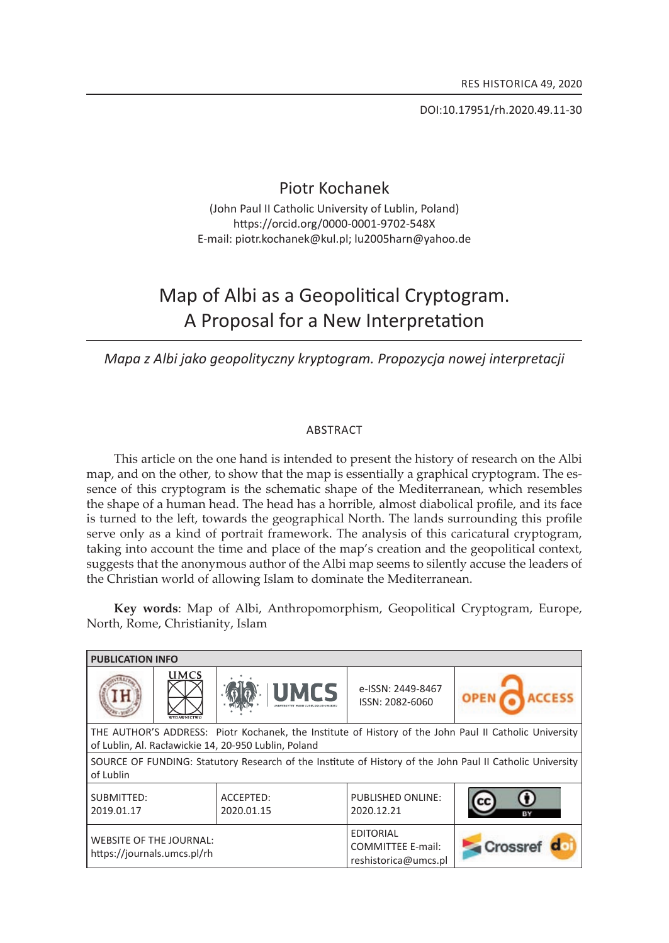Doi:10.17951/rh.2020.49.11-30

# piotr Kochanek

(John paul ii catholic University of lublin, poland) https://orcid.org/0000-0001-9702-548X E-mail: piotr.kochanek@kul.pl; lu2005harn@yahoo.de

# Map of Albi as a Geopolitical Cryptogram. A Proposal for a New Interpretation

*Mapa z Albi jako geopolityczny kryptogram. Propozycja nowej interpretacji*

#### **ABSTRACT**

This article on the one hand is intended to present the history of research on the Albi map, and on the other, to show that the map is essentially a graphical cryptogram. the essence of this cryptogram is the schematic shape of the Mediterranean, which resembles the shape of a human head. The head has a horrible, almost diabolical profile, and its face is turned to the left, towards the geographical North. The lands surrounding this profile serve only as a kind of portrait framework. The analysis of this caricatural cryptogram, taking into account the time and place of the map's creation and the geopolitical context, suggests that the anonymous author of the albi map seems to silently accuse the leaders of the christian world of allowing islam to dominate the Mediterranean.

**Key words**: Map of albi, anthropomorphism, Geopolitical cryptogram, europe, North, Rome, Christianity, Islam

| <b>PUBLICATION INFO</b>                                                                                                                                        |             |                         |                                                                      |                |
|----------------------------------------------------------------------------------------------------------------------------------------------------------------|-------------|-------------------------|----------------------------------------------------------------------|----------------|
|                                                                                                                                                                | <b>UMCS</b> | <b>UMCS</b>             | e-ISSN: 2449-8467<br>ISSN: 2082-6060                                 | OPEN           |
| THE AUTHOR'S ADDRESS: Piotr Kochanek, the Institute of History of the John Paul II Catholic University<br>of Lublin, Al. Racławickie 14, 20-950 Lublin, Poland |             |                         |                                                                      |                |
| SOURCE OF FUNDING: Statutory Research of the Institute of History of the John Paul II Catholic University<br>of Lublin                                         |             |                         |                                                                      |                |
| SUBMITTED:<br>2019.01.17                                                                                                                                       |             | ACCEPTED:<br>2020.01.15 | PUBLISHED ONLINE:<br>2020.12.21                                      |                |
| <b>WEBSITE OF THE JOURNAL:</b><br>https://journals.umcs.pl/rh                                                                                                  |             |                         | <b>EDITORIAL</b><br><b>COMMITTEE E-mail:</b><br>reshistorica@umcs.pl | <b>Crossre</b> |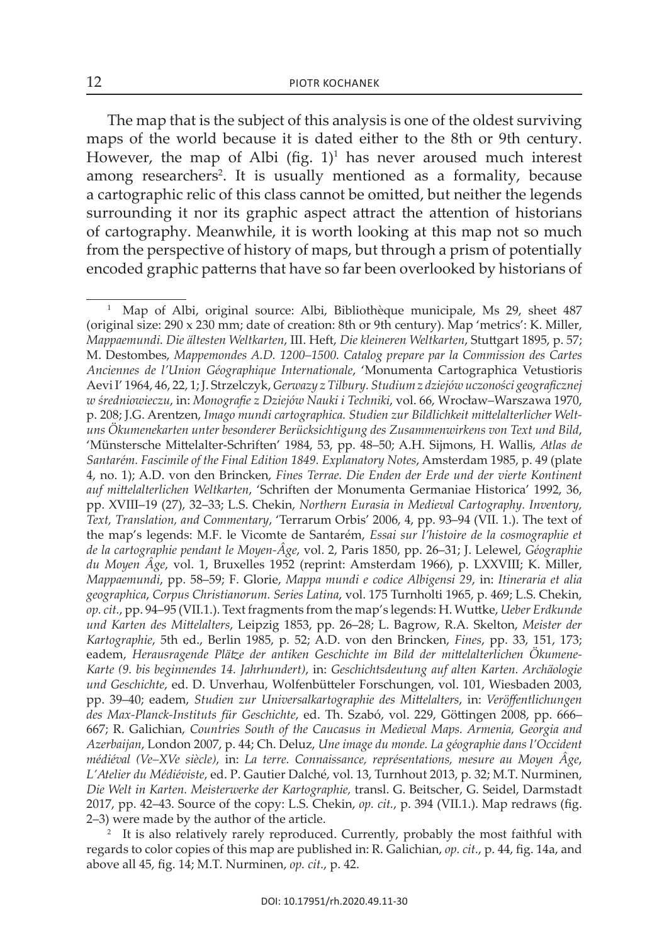The map that is the subject of this analysis is one of the oldest surviving maps of the world because it is dated either to the 8th or 9th century. However, the map of Albi (fig.  $1$ )<sup>1</sup> has never aroused much interest among researchers<sup>2</sup>. It is usually mentioned as a formality, because a cartographic relic of this class cannot be omitted, but neither the legends surrounding it nor its graphic aspect attract the attention of historians of cartography. Meanwhile, it is worth looking at this map not so much from the perspective of history of maps, but through a prism of potentially encoded graphic patterns that have so far been overlooked by historians of

<sup>1</sup> Map of albi, original source: albi, Bibliothèque municipale, Ms 29, sheet 487 (original size: 290 x 230 mm; date of creation: 8th or 9th century). Map 'metrics': k. Miller, *Mappaemundi. Die ältesten Weltkarten*, iii. heft, *Die kleineren Weltkarten*, stuttgart 1895, p. 57; M. Destombes, *Mappemondes A.D. 1200–1500. Catalog prepare par la Commission des Cartes Anciennes de l'Union Géographique Internationale*, 'Monumenta cartographica Vetustioris aevi i' 1964, 46, 22, 1; J. strzelczyk, *Gerwazy z Tilbury. Studium z dziejów uczoności geograficznej w średniowieczu*, in: *Monografie z Dziejów Nauki i Techniki*, vol. 66, wrocław–warszawa 1970, p. 208; J.G. arentzen, *Imago mundi cartographica. Studien zur Bildlichkeit mittelalterlicher Weltuns Ökumenekarten unter besonderer Berücksichtigung des Zusammenwirkens von Text und Bild*, 'Münstersche Mittelalter-schriften' 1984, 53, pp. 48–50; a.h. sijmons, h. Wallis, *Atlas de*  Santarém. Fascimile of the Final Edition 1849. Explanatory Notes, Amsterdam 1985, p. 49 (plate 4, no. 1); A.D. von den Brincken, *Fines Terrae. Die Enden der Erde und der vierte Kontinent auf mittelalterlichen Weltkarten*, 'schriften der Monumenta Germaniae historica' 1992, 36, pp. XViii–19 (27), 32–33; L.s. Chekin, *Northern Eurasia in Medieval Cartography. Inventory, Text, Translation, and Commentary*, 'terrarum Orbis' 2006, 4, pp. 93–94 (Vii. 1.). the text of the map's legends: M.F. le Vicomte de santarém, *Essai sur l'histoire de la cosmographie et de la cartographie pendant le Moyen-Âge*, vol. 2, Paris 1850, pp. 26–31; J. Lelewel, *Géographie du Moyen Âge*, vol. 1, Bruxelles 1952 (reprint: amsterdam 1966), p. LXXViii; k. Miller, *Mappaemundi*, pp. 58–59; F. Glorie, *Mappa mundi e codice Albigensi 29*, in: *Itineraria et alia geographica*, *Corpus Christianorum. Series Latina*, vol. 175 turnholti 1965, p. 469; l.s. chekin, *op. cit.*, pp. 94–95 (Vii.1.). text fragments from the map's legends: H. wuttke, *Ueber Erdkunde und Karten des Mittelalters*, Leipzig 1853, pp. 26–28; L. Bagrow, r.a. skelton, *Meister der Kartographie*, 5th ed., Berlin 1985, p. 52; a.D. von den Brincken, *Fines*, pp. 33, 151, 173; eadem, *Herausragende Plätze der antiken Geschichte im Bild der mittelalterlichen Ökumene-Karte (9. bis beginnendes 14. Jahrhundert)*, in: *Geschichtsdeutung auf alten Karten. Archäologie*  und Geschichte, ed. D. Unverhau, Wolfenbütteler Forschungen, vol. 101, Wiesbaden 2003, pp. 39–40; eadem, *Studien zur Universalkartographie des Mittelalters*, in: *Veröffentlichungen des Max-Planck-Instituts für Geschichte*, ed. th. szabó, vol. 229, Göttingen 2008, pp. 666– 667; R. Galichian, *Countries South of the Caucasus in Medieval Maps. Armenia, Georgia and Azerbaijan*, london 2007, p. 44; ch. Deluz, *Une image du monde. La géographie dans l'Occident médiéval (Ve–XVe siècle)*, in: *La terre. Connaissance, représentations, mesure au Moyen Âge*, L'Atelier du Médiéviste, ed. P. Gautier Dalché, vol. 13, Turnhout 2013, p. 32; M.T. Nurminen, *Die Welt in Karten. Meisterwerke der Kartographie,* transl. G. Beitscher, G. seidel, Darmstadt 2017, pp. 42–43. source of the copy: L.s. Chekin, *op. cit.*, p. 394 (Vii.1.). Map redraws (fig. 2–3) were made by the author of the article.

<sup>&</sup>lt;sup>2</sup> It is also relatively rarely reproduced. Currently, probably the most faithful with regards to color copies of this map are published in: r. Galichian, *op. cit.*, p. 44, fig. 14a, and above all 45, fig. 14; M.T. Nurminen, op. cit., p. 42.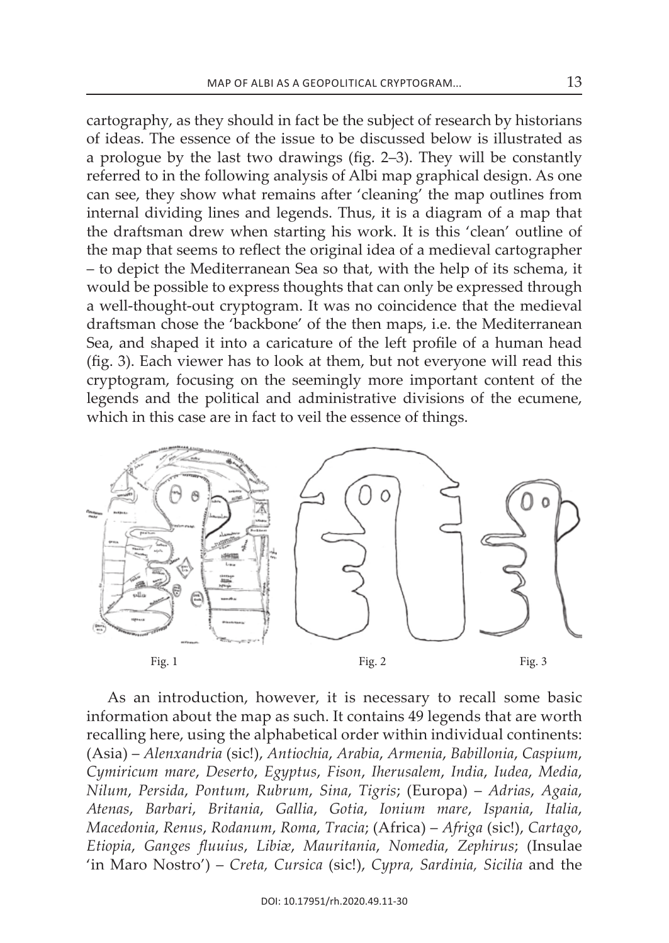cartography, as they should in fact be the subject of research by historians of ideas. the essence of the issue to be discussed below is illustrated as a prologue by the last two drawings (fig.  $2-3$ ). They will be constantly referred to in the following analysis of Albi map graphical design. As one can see, they show what remains after 'cleaning' the map outlines from internal dividing lines and legends. Thus, it is a diagram of a map that the draftsman drew when starting his work. it is this 'clean' outline of the map that seems to reflect the original idea of a medieval cartographer – to depict the Mediterranean sea so that, with the help of its schema, it would be possible to express thoughts that can only be expressed through a well-thought-out cryptogram. it was no coincidence that the medieval draftsman chose the 'backbone' of the then maps, i.e. the Mediterranean sea, and shaped it into a caricature of the left profile of a human head (fig. 3). Each viewer has to look at them, but not everyone will read this cryptogram, focusing on the seemingly more important content of the legends and the political and administrative divisions of the ecumene, which in this case are in fact to veil the essence of things.



As an introduction, however, it is necessary to recall some basic information about the map as such. it contains 49 legends that are worth recalling here, using the alphabetical order within individual continents: (asia) – *Alenxandria* (sic!), *Antiochia*, *Arabia*, *Armenia*, *Babillonia*, *Caspium*, *Cymiricum mare*, *Deserto*, *Egyptus*, *Fison*, *Iherusalem*, *India*, *Iudea*, *Media*, *Nilum*, *Persida*, *Pontum*, *Rubrum*, *Sina*, *Tigris*; (europa) – *Adrias*, *Agaia*, *Atenas*, *Barbari*, *Britania*, *Gallia*, *Gotia*, *Ionium mare*, *Ispania*, *Italia*, *Macedonia*, *Renus*, *Rodanum*, *Roma*, *Tracia*; (africa) – *Afriga* (sic!), *Cartago*, *Etiopia*, *Ganges fluuius*, *Libiæ*, *Mauritania*, *Nomedia*, *Zephirus*; (insulae 'in Maro nostro') – *Creta, Cursica* (sic!), *Cypra, Sardinia, Sicilia* and the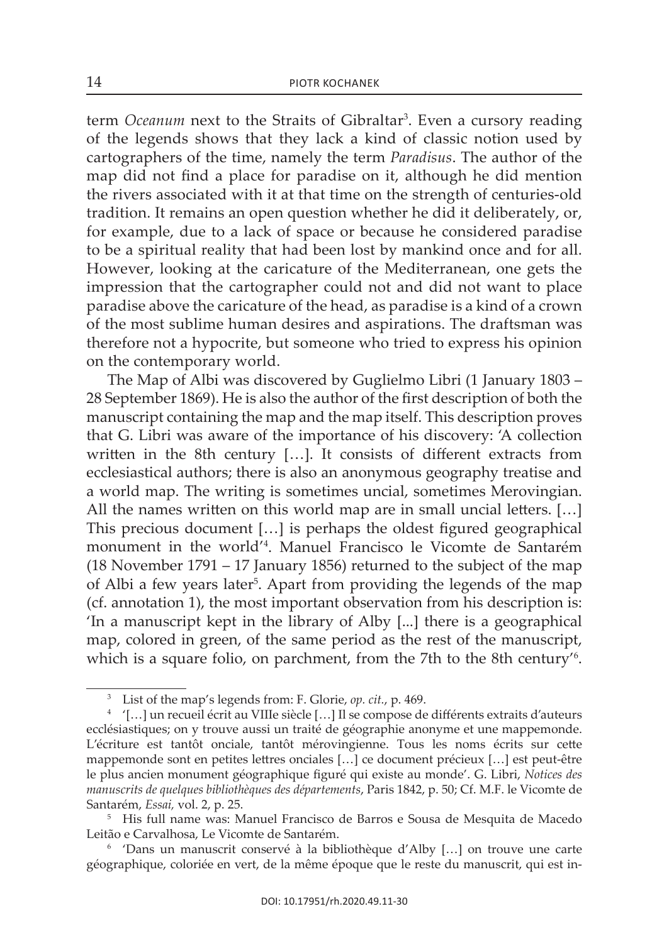term *Oceanum* next to the Straits of Gibraltar<sup>3</sup>. Even a cursory reading of the legends shows that they lack a kind of classic notion used by cartographers of the time, namely the term *Paradisus*. The author of the map did not find a place for paradise on it, although he did mention the rivers associated with it at that time on the strength of centuries-old tradition. it remains an open question whether he did it deliberately, or, for example, due to a lack of space or because he considered paradise to be a spiritual reality that had been lost by mankind once and for all. however, looking at the caricature of the Mediterranean, one gets the impression that the cartographer could not and did not want to place paradise above the caricature of the head, as paradise is a kind of a crown of the most sublime human desires and aspirations. The draftsman was therefore not a hypocrite, but someone who tried to express his opinion on the contemporary world.

the Map of albi was discovered by Guglielmo Libri (1 January 1803 – 28 september 1869). He is also the author of the first description of both the manuscript containing the map and the map itself. This description proves that G. Libri was aware of the importance of his discovery: 'A collection written in the 8th century […]. it consists of different extracts from ecclesiastical authors; there is also an anonymous geography treatise and a world map. The writing is sometimes uncial, sometimes Merovingian. all the names written on this world map are in small uncial letters. […] this precious document […] is perhaps the oldest figured geographical monument in the world'4 . Manuel Francisco le Vicomte de santarém  $(18$  November 1791 – 17 January 1856) returned to the subject of the map of Albi a few years later<sup>5</sup>. Apart from providing the legends of the map (cf. annotation 1), the most important observation from his description is: 'In a manuscript kept in the library of Alby [...] there is a geographical map, colored in green, of the same period as the rest of the manuscript, which is a square folio, on parchment, from the 7th to the 8th century<sup>'6</sup>.

List of the map's legends from: F. Glorie, *op. cit.*, p. 469.

<sup>&</sup>lt;sup>4</sup> '[...] un recueil écrit au VIIIe siècle [...] Il se compose de différents extraits d'auteurs ecclésiastiques; on y trouve aussi un traité de géographie anonyme et une mappemonde. L'écriture est tantôt onciale, tantôt mérovingienne. Tous les noms écrits sur cette mappemonde sont en petites lettres onciales […] ce document précieux […] est peut-être le plus ancien monument géographique figuré qui existe au monde'. G. Libri, *Notices des manuscrits de quelques bibliothèques des départements*, Paris 1842, p. 50; cf. M.F. le Vicomte de santarém, *Essai,* vol. 2, p. 25.

<sup>&</sup>lt;sup>5</sup> His full name was: Manuel Francisco de Barros e Sousa de Mesquita de Macedo Leitão e Carvalhosa, Le Vicomte de Santarém.

<sup>&</sup>lt;sup>6</sup> 'Dans un manuscrit conservé à la bibliothèque d'Alby [...] on trouve une carte géographique, coloriée en vert, de la même époque que le reste du manuscrit, qui est in-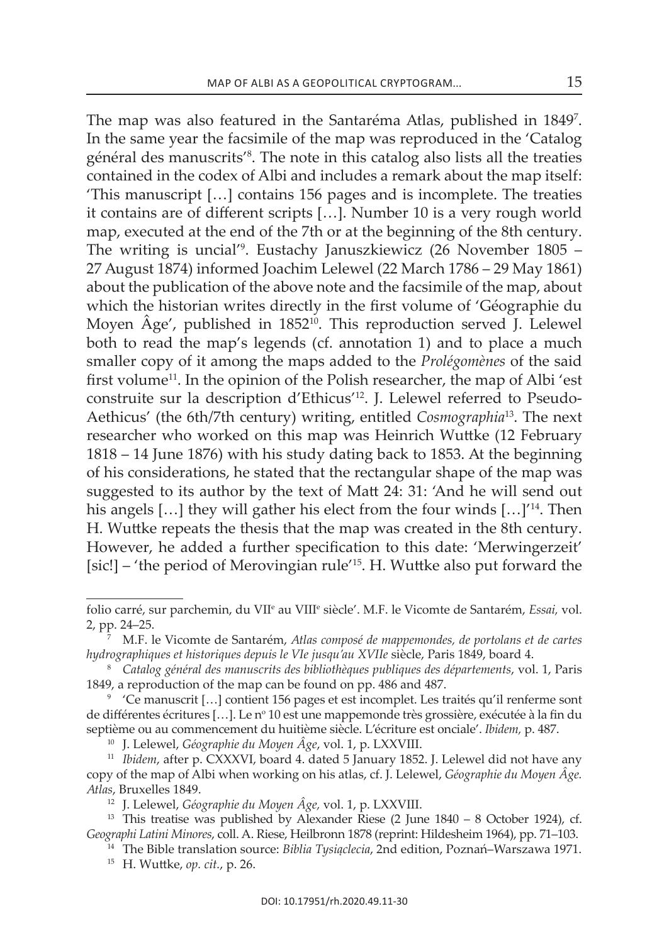The map was also featured in the Santaréma Atlas, published in 1849<sup>7</sup>. in the same year the facsimile of the map was reproduced in the 'catalog général des manuscrits'8 . the note in this catalog also lists all the treaties contained in the codex of albi and includes a remark about the map itself: 'this manuscript […] contains 156 pages and is incomplete. the treaties it contains are of different scripts […]. number 10 is a very rough world map, executed at the end of the 7th or at the beginning of the 8th century. The writing is uncial'<sup>9</sup>. Eustachy Januszkiewicz (26 November 1805 – 27 august 1874) informed Joachim Lelewel (22 March 1786 – 29 May 1861) about the publication of the above note and the facsimile of the map, about which the historian writes directly in the first volume of 'Géographie du Moyen  $\hat{A}$ ge', published in 1852<sup>10</sup>. This reproduction served J. Lelewel both to read the map's legends (cf. annotation 1) and to place a much smaller copy of it among the maps added to the *Prolégomènes* of the said first volume<sup>11</sup>. In the opinion of the Polish researcher, the map of Albi 'est construite sur la description d'Ethicus'<sup>12</sup>. J. Lelewel referred to Pseudo-Aethicus' (the 6th/7th century) writing, entitled *Cosmographia*<sup>13</sup>. The next researcher who worked on this map was Heinrich wuttke (12 February 1818 – 14 June 1876) with his study dating back to 1853. at the beginning of his considerations, he stated that the rectangular shape of the map was suggested to its author by the text of Matt 24: 31: 'And he will send out his angels  $[\dots]$  they will gather his elect from the four winds  $[\dots]^{14}$ . Then H. wuttke repeats the thesis that the map was created in the 8th century. however, he added a further specification to this date: 'Merwingerzeit' [sic!] – 'the period of Merovingian rule'<sup>15</sup>. H. wuttke also put forward the

folio carré, sur parchemin, du VII<sup>e</sup> au VIII<sup>e</sup> siècle'. M.F. le Vicomte de Santarém, *Essai,* vol. 2, pp. 24–25.

<sup>7</sup> M.F. le Vicomte de santarém, *Atlas composé de mappemondes, de portolans et de cartes hydrographiques et historiques depuis le VIe jusqu'au XVIIe* siècle, Paris 1849, board 4.

<sup>8</sup>*Catalog général des manuscrits des bibliothèques publiques des départements*, vol. 1, Paris 1849, a reproduction of the map can be found on pp. 486 and 487.

<sup>9</sup>'Ce manuscrit […] contient 156 pages et est incomplet. Les traités qu'il renferme sont de différentes écritures [...]. Le nº 10 est une mappemonde très grossière, exécutée à la fin du septième ou au commencement du huitième siècle. L'écriture est onciale'. *Ibidem*, p. 487.<br><sup>10</sup> J. Lelewel, *Géographie du Moyen Âge*, vol. 1, p. LXXVIII.

<sup>&</sup>lt;sup>11</sup> *Ibidem*, after p. CXXXVI, board 4. dated 5 January 1852. J. Lelewel did not have any copy of the map of albi when working on his atlas, cf. J. lelewel, *Géographie du Moyen Âge. Atlas*, Bruxelles 1849.

<sup>&</sup>lt;sup>12</sup> J. Lelewel, *Géographie du Moyen Âge*, vol. 1, p. LXXVIII.

<sup>&</sup>lt;sup>13</sup> This treatise was published by Alexander Riese (2 June  $1840 - 8$  October 1924), cf. *Geographi Latini Minores*, coll. a. riese, Heilbronn 1878 (reprint: Hildesheim 1964), pp. 71–103.

<sup>&</sup>lt;sup>14</sup> The Bible translation source: *Biblia Tysiąclecia*, 2nd edition, Poznań–Warszawa 1971.

<sup>15</sup> H. wuttke, *op. cit.*, p. 26.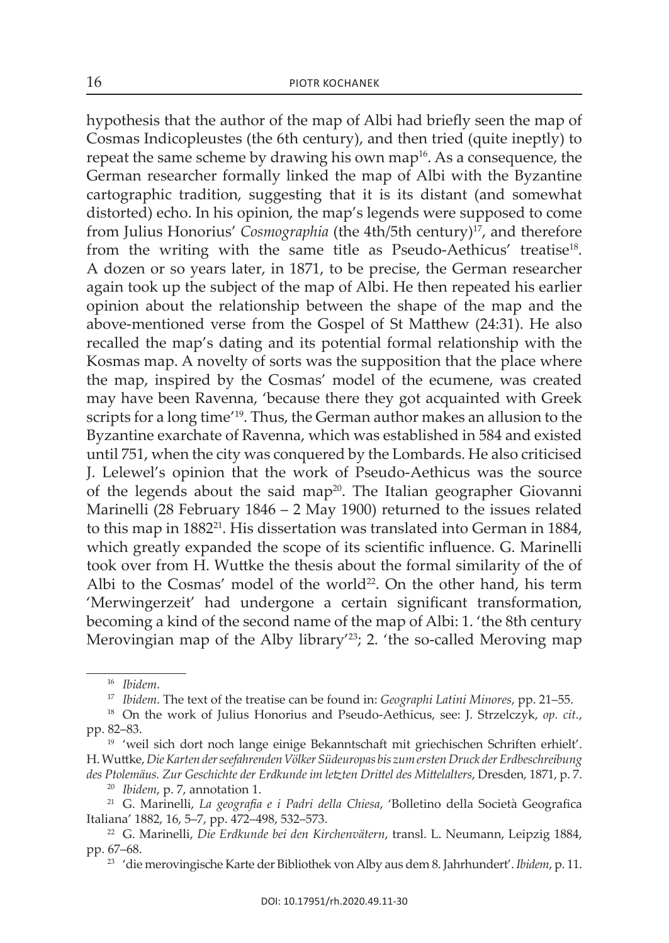hypothesis that the author of the map of albi had briefly seen the map of Cosmas indicopleustes (the 6th century), and then tried (quite ineptly) to repeat the same scheme by drawing his own map<sup>16</sup>. As a consequence, the German researcher formally linked the map of albi with the Byzantine cartographic tradition, suggesting that it is its distant (and somewhat distorted) echo. in his opinion, the map's legends were supposed to come from Julius Honorius' *Cosmographia* (the 4th/5th century)<sup>17</sup>, and therefore from the writing with the same title as Pseudo-Aethicus' treatise<sup>18</sup>. a dozen or so years later, in 1871, to be precise, the German researcher again took up the subject of the map of albi. he then repeated his earlier opinion about the relationship between the shape of the map and the above-mentioned verse from the Gospel of st Matthew (24:31). He also recalled the map's dating and its potential formal relationship with the Kosmas map. A novelty of sorts was the supposition that the place where the map, inspired by the cosmas' model of the ecumene, was created may have been Ravenna, 'because there they got acquainted with Greek scripts for a long time<sup>'19</sup>. Thus, the German author makes an allusion to the Byzantine exarchate of Ravenna, which was established in 584 and existed until 751, when the city was conquered by the Lombards. He also criticised J. lelewel's opinion that the work of Pseudo-aethicus was the source of the legends about the said map<sup>20</sup>. The Italian geographer Giovanni Marinelli (28 February 1846 – 2 May 1900) returned to the issues related to this map in 1882<sup>21</sup>. His dissertation was translated into German in 1884, which greatly expanded the scope of its scientific influence. G. Marinelli took over from H. wuttke the thesis about the formal similarity of the of Albi to the Cosmas' model of the world<sup>22</sup>. On the other hand, his term 'Merwingerzeit' had undergone a certain significant transformation, becoming a kind of the second name of the map of albi: 1. 'the 8th century Merovingian map of the Alby library<sup> $23$ </sup>; 2. 'the so-called Meroving map

<sup>16</sup> *Ibidem*.

<sup>&</sup>lt;sup>17</sup> *Ibidem*. The text of the treatise can be found in: *Geographi Latini Minores*, pp. 21–55.

<sup>&</sup>lt;sup>18</sup> On the work of Julius Honorius and Pseudo-Aethicus, see: J. Strzelczyk, op. cit., pp. 82–83.

<sup>&</sup>lt;sup>19</sup> 'weil sich dort noch lange einige Bekanntschaft mit griechischen Schriften erhielt'. H. wuttke, *Die Karten der seefahrenden Völker Südeuropas bis zum ersten Druck der Erdbeschreibung des Ptolemäus. Zur Geschichte der Erdkunde im letzten Drittel des Mittelalters*, Dresden, 1871, p. 7.

<sup>20</sup> *Ibidem*, p. 7, annotation 1.

<sup>21</sup> G. Marinelli, *La geografia e i Padri della Chiesa*, 'Bolletino della società Geografica italiana' 1882, 16, 5–7, pp. 472–498, 532–573.

<sup>&</sup>lt;sup>22</sup> G. Marinelli, *Die Erdkunde bei den Kirchenvätern*, transl. L. Neumann, Leipzig 1884, pp. 67–68.

<sup>23</sup> 'die merovingische Karte der Bibliothek von alby aus dem 8. Jahrhundert'. *Ibidem*, p. 11.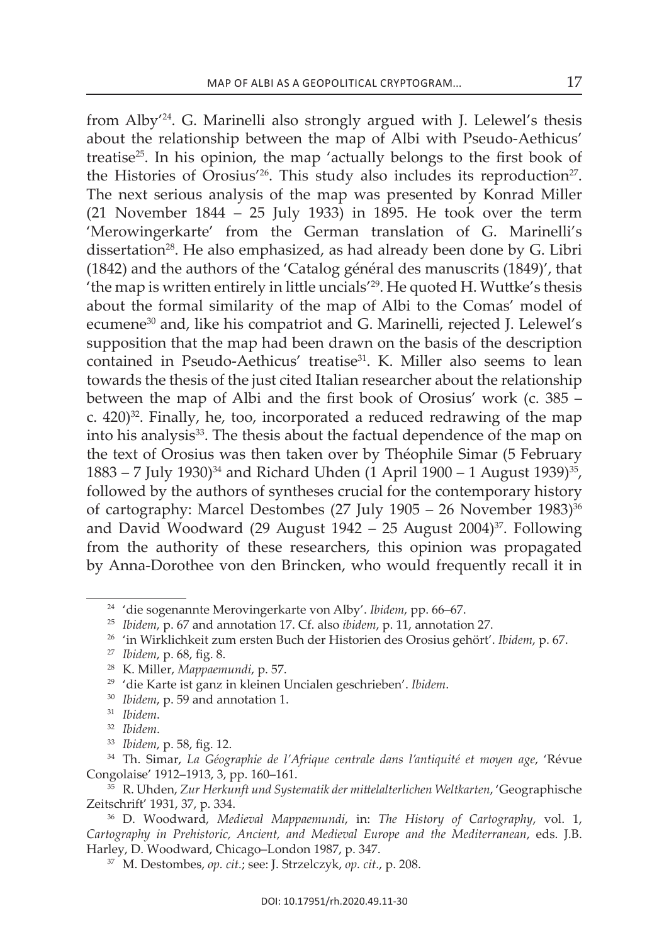from alby'24. G. Marinelli also strongly argued with J. lelewel's thesis about the relationship between the map of Albi with Pseudo-Aethicus' treatise25. in his opinion, the map 'actually belongs to the first book of the Histories of Orosius<sup>'26</sup>. This study also includes its reproduction<sup>27</sup>. The next serious analysis of the map was presented by Konrad Miller (21 November 1844 – 25 July 1933) in 1895. He took over the term 'Merowingerkarte' from the German translation of G. Marinelli's dissertation<sup>28</sup>. He also emphasized, as had already been done by G. Libri (1842) and the authors of the 'Catalog général des manuscrits (1849)', that 'the map is written entirely in little uncials'<sup>29</sup>. He quoted H. wuttke's thesis about the formal similarity of the map of albi to the comas' model of ecumene30 and, like his compatriot and G. Marinelli, rejected J. lelewel's supposition that the map had been drawn on the basis of the description contained in Pseudo-Aethicus' treatise<sup>31</sup>. K. Miller also seems to lean towards the thesis of the just cited Italian researcher about the relationship between the map of albi and the first book of Orosius' work (c. 385 – c.  $420)^{32}$ . Finally, he, too, incorporated a reduced redrawing of the map into his analysis<sup>33</sup>. The thesis about the factual dependence of the map on the text of Orosius was then taken over by Théophile Simar (5 February 1883 – 7 July 1930)<sup>34</sup> and Richard Uhden (1 April 1900 – 1 August 1939)<sup>35</sup>, followed by the authors of syntheses crucial for the contemporary history of cartography: Marcel Destombes (27 July 1905 – 26 November 1983)<sup>36</sup> and David Woodward (29 August 1942 – 25 August 2004)<sup>37</sup>. Following from the authority of these researchers, this opinion was propagated by Anna-Dorothee von den Brincken, who would frequently recall it in

<sup>24</sup> 'die sogenannte Merovingerkarte von alby'. *Ibidem*, pp. 66–67.

<sup>25</sup> *Ibidem*, p. 67 and annotation 17. cf. also *ibidem*, p. 11, annotation 27.

<sup>26</sup> 'in wirklichkeit zum ersten Buch der Historien des Orosius gehört'. *Ibidem*, p. 67.

<sup>27</sup> *Ibidem*, p. 68, fig. 8.

<sup>28</sup> K. Miller, *Mappaemundi*, p. 57.

<sup>&</sup>lt;sup>29</sup> 'die Karte ist ganz in kleinen Uncialen geschrieben'. *Ibidem*.

<sup>30</sup> *Ibidem*, p. 59 and annotation 1.

<sup>31</sup> *Ibidem*.

<sup>32</sup> *Ibidem*.

<sup>33</sup> *Ibidem*, p. 58, fig. 12.

<sup>&</sup>lt;sup>34</sup> Th. Simar, *La Géographie de l'Afrique centrale dans l'antiquité et moyen age*, 'Révue Congolaise' 1912–1913, 3, pp. 160–161.

<sup>&</sup>lt;sup>35</sup> R. Uhden, Zur Herkunft und Systematik der mittelalterlichen Weltkarten, 'Geographische zeitschrift' 1931, 37, p. 334.

<sup>36</sup> D. Woodward, *Medieval Mappaemundi*, in: *The History of Cartography*, vol. 1, *Cartography in Prehistoric, Ancient, and Medieval Europe and the Mediterranean*, eds. J.B. Harley, D. Woodward, Chicago–London 1987, p. 347.

<sup>37</sup> M. Destombes, *op. cit.*; see: J. strzelczyk, *op. cit.*, p. 208.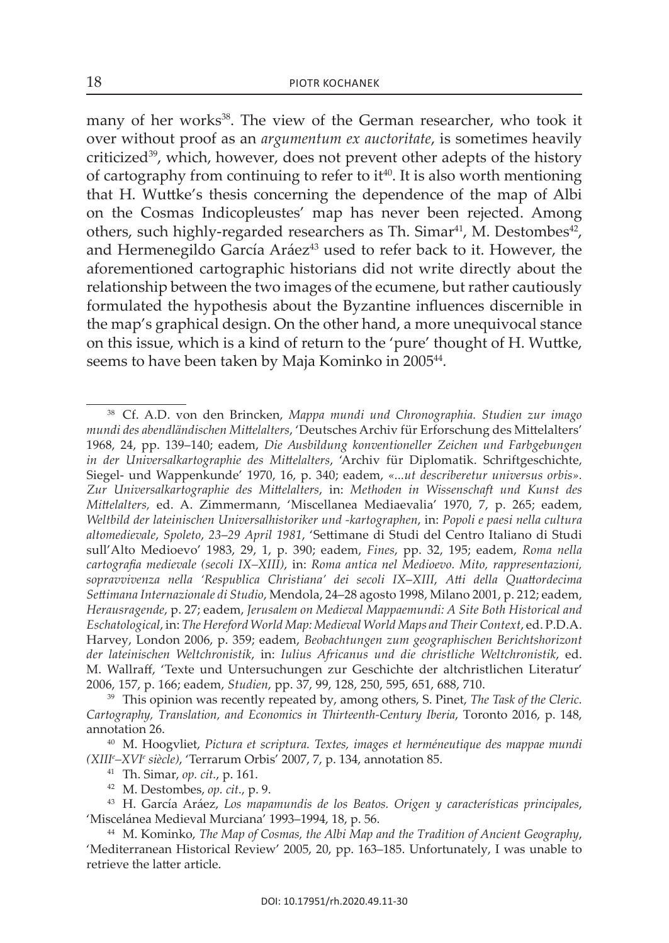many of her works<sup>38</sup>. The view of the German researcher, who took it over without proof as an *argumentum ex auctoritate*, is sometimes heavily criticized<sup>39</sup>, which, however, does not prevent other adepts of the history of cartography from continuing to refer to it<sup>40</sup>. It is also worth mentioning that H. wuttke's thesis concerning the dependence of the map of albi on the Cosmas Indicopleustes' map has never been rejected. Among others, such highly-regarded researchers as Th. Simar<sup>41</sup>, M. Destombes<sup>42</sup>, and Hermenegildo García Aráez<sup>43</sup> used to refer back to it. However, the aforementioned cartographic historians did not write directly about the relationship between the two images of the ecumene, but rather cautiously formulated the hypothesis about the Byzantine influences discernible in the map's graphical design. On the other hand, a more unequivocal stance on this issue, which is a kind of return to the 'pure' thought of H. wuttke, seems to have been taken by Maja Kominko in 2005<sup>44</sup>.

<sup>40</sup> M. hoogvliet, *Pictura et scriptura. Textes, images et herméneutique des mappae mundi (XIII<sup>e</sup> –XVI<sup>e</sup> siècle)*, 'terrarum orbis' 2007, 7, p. 134, annotation 85.

<sup>38</sup> cf. a.D. von den Brincken, *Mappa mundi und Chronographia. Studien zur imago mundi des abendländischen Mittelalters*, 'deutsches archiv für erforschung des Mittelalters' 1968, 24, pp. 139–140; eadem, *Die Ausbildung konventioneller Zeichen und Farbgebungen in der Universalkartographie des Mittelalters*, 'archiv für Diplomatik. schriftgeschichte, siegel- und Wappenkunde' 1970, 16, p. 340; eadem, *«...ut describeretur universus orbis». Zur Universalkartographie des Mittelalters*, in: *Methoden in Wissenschaft und Kunst des Mittelalters,* ed. a. zimmermann, 'Miscellanea Mediaevalia' 1970, 7, p. 265; eadem, *Weltbild der lateinischen Universalhistoriker und -kartographen*, in: *Popoli e paesi nella cultura altomedievale*, *Spoleto*, *23*–*29 April 1981*, 'settimane di studi del Centro italiano di studi sull'alto Medioevo' 1983, 29, 1, p. 390; eadem, *Fines*, pp. 32, 195; eadem, *Roma nella cartografia medievale (secoli IX–XIII)*, in: *Roma antica nel Medioevo. Mito, rappresentazioni, sopravvivenza nella 'Respublica Christiana' dei secoli IX*–*XIII*, *Atti della Quattordecima Settimana Internazionale di Studio*, Mendola, 24–28 agosto 1998, Milano 2001, p. 212; eadem, *Herausragende*, p. 27; eadem, *Jerusalem on Medieval Mappaemundi: A Site Both Historical and Eschatological*, in: *The Hereford World Map: Medieval World Maps and Their Context*, ed. P.D.a. harvey, london 2006, p. 359; eadem, *Beobachtungen zum geographischen Berichtshorizont der lateinischen Weltchronistik*, in: *Iulius Africanus und die christliche Weltchronistik*, ed. M. wallraff, 'texte und untersuchungen zur Geschichte der altchristlichen Literatur' 2006, 157, p. 166; eadem, *Studien*, pp. 37, 99, 128, 250, 595, 651, 688, 710.

<sup>39</sup> this opinion was recently repeated by, among others, s. Pinet, *The Task of the Cleric. Cartography, Translation, and Economics in Thirteenth-Century Iberia*, toronto 2016, p. 148, annotation 26.

<sup>41</sup> th. simar, *op. cit.*, p. 161.

<sup>42</sup> M. Destombes, *op. cit.*, p. 9.

<sup>&</sup>lt;sup>43</sup> H. García Aráez, Los mapamundis de los Beatos. Origen y características principales, 'Miscelánea Medieval Murciana' 1993–1994, 18, p. 56.

<sup>44</sup> M. Kominko, *The Map of Cosmas, the Albi Map and the Tradition of Ancient Geography*, 'Mediterranean Historical Review' 2005, 20, pp. 163-185. Unfortunately, I was unable to retrieve the latter article.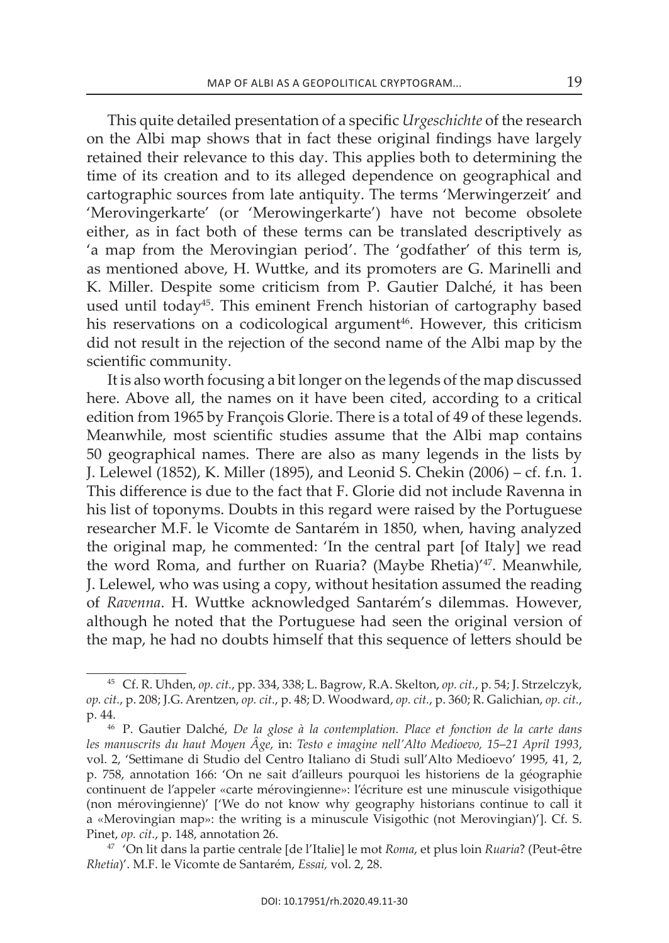this quite detailed presentation of a specific *Urgeschichte* of the research on the albi map shows that in fact these original findings have largely retained their relevance to this day. This applies both to determining the time of its creation and to its alleged dependence on geographical and cartographic sources from late antiquity. The terms 'Merwingerzeit' and 'Merovingerkarte' (or 'Merowingerkarte') have not become obsolete either, as in fact both of these terms can be translated descriptively as 'a map from the Merovingian period'. The 'godfather' of this term is, as mentioned above, H. wuttke, and its promoters are G. Marinelli and K. Miller. Despite some criticism from P. Gautier Dalché, it has been used until today<sup>45</sup>. This eminent French historian of cartography based his reservations on a codicological argument<sup>46</sup>. However, this criticism did not result in the rejection of the second name of the albi map by the scientific community.

It is also worth focusing a bit longer on the legends of the map discussed here. Above all, the names on it have been cited, according to a critical edition from 1965 by François Glorie. There is a total of 49 of these legends. Meanwhile, most scientific studies assume that the albi map contains 50 geographical names. there are also as many legends in the lists by J. Lelewel (1852), k. Miller (1895), and Leonid s. Chekin (2006) – cf. f.n. 1. This difference is due to the fact that F. Glorie did not include Ravenna in his list of toponyms. Doubts in this regard were raised by the Portuguese researcher M.F. le Vicomte de santarém in 1850, when, having analyzed the original map, he commented: 'in the central part [of italy] we read the word Roma, and further on Ruaria? (Maybe Rhetia)'<sup>47</sup>. Meanwhile, J. lelewel, who was using a copy, without hesitation assumed the reading of *Ravenna*. H. wuttke acknowledged santarém's dilemmas. However, although he noted that the Portuguese had seen the original version of the map, he had no doubts himself that this sequence of letters should be

<sup>&</sup>lt;sup>45</sup> Cf. R. Uhden, *op. cit.*, pp. 334, 338; L. Bagrow, R.A. Skelton, *op. cit.*, p. 54; J. Strzelczyk, *op. cit.*, p. 208; J.G. arentzen, *op. cit.*, p. 48; D. Woodward, *op. cit.*, p. 360; r. Galichian, *op. cit.*, p. 44.

<sup>46</sup> P. Gautier Dalché, *De la glose à la contemplation. Place et fonction de la carte dans les manuscrits du haut Moyen Âge*, in: *Testo e imagine nell'Alto Medioevo, 15*–*21 April 1993*, vol. 2, 'settimane di studio del Centro italiano di studi sull'alto Medioevo' 1995, 41, 2, p. 758, annotation 166: 'On ne sait d'ailleurs pourquoi les historiens de la géographie continuent de l'appeler «carte mérovingienne»: l'écriture est une minuscule visigothique (non mérovingienne)' ['we do not know why geography historians continue to call it a «Merovingian map»: the writing is a minuscule Visigothic (not Merovingian)']. Cf. s. Pinet, *op. cit.*, p. 148, annotation 26.

<sup>47</sup> 'On lit dans la partie centrale [de l'italie] le mot *Roma*, et plus loin *Ruaria*? (Peut-être *Rhetia*)'. M.F. le Vicomte de santarém, *Essai,* vol. 2, 28.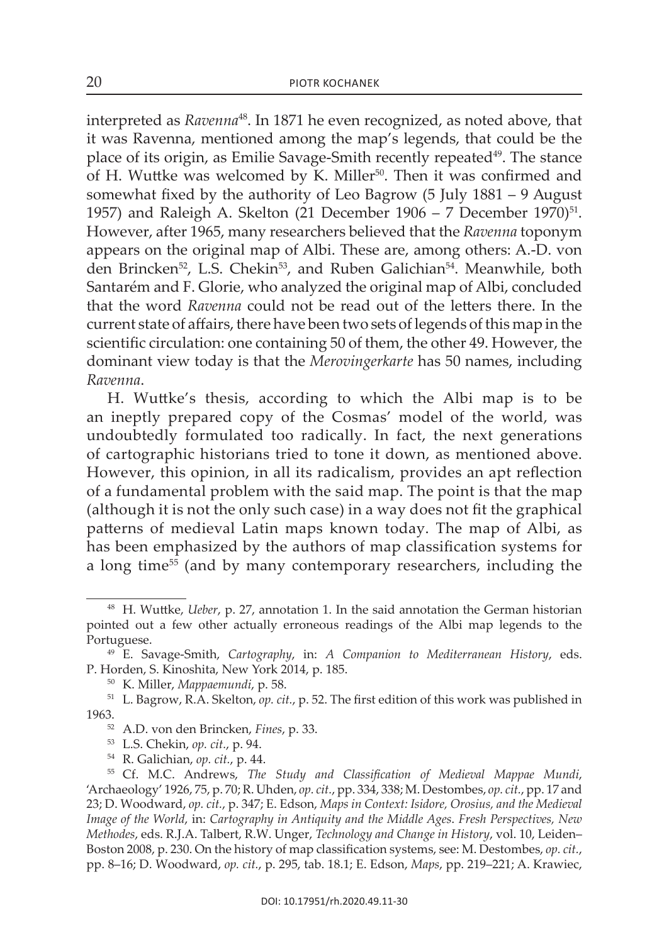interpreted as *Ravenna*48. in 1871 he even recognized, as noted above, that it was Ravenna, mentioned among the map's legends, that could be the place of its origin, as Emilie Savage-Smith recently repeated<sup>49</sup>. The stance of H. Wuttke was welcomed by K. Miller<sup>50</sup>. Then it was confirmed and somewhat fixed by the authority of Leo Bagrow  $(5 \text{ July } 1881 - 9 \text{ August})$ 1957) and Raleigh A. Skelton (21 December 1906 – 7 December 1970)<sup>51</sup>. however, after 1965, many researchers believed that the *Ravenna* toponym appears on the original map of Albi. These are, among others: A.-D. von den Brincken<sup>52</sup>, L.S. Chekin<sup>53</sup>, and Ruben Galichian<sup>54</sup>. Meanwhile, both santarém and F. Glorie, who analyzed the original map of albi, concluded that the word *Ravenna* could not be read out of the letters there. in the current state of affairs, there have been two sets of legends of this map in the scientific circulation: one containing 50 of them, the other 49. However, the dominant view today is that the *Merovingerkarte* has 50 names, including *Ravenna*.

H. wuttke's thesis, according to which the albi map is to be an ineptly prepared copy of the cosmas' model of the world, was undoubtedly formulated too radically. in fact, the next generations of cartographic historians tried to tone it down, as mentioned above. However, this opinion, in all its radicalism, provides an apt reflection of a fundamental problem with the said map. The point is that the map (although it is not the only such case) in a way does not fit the graphical patterns of medieval Latin maps known today. The map of Albi, as has been emphasized by the authors of map classification systems for a long time<sup>55</sup> (and by many contemporary researchers, including the

<sup>48</sup> H. wuttke, *Ueber*, p. 27, annotation 1. in the said annotation the German historian pointed out a few other actually erroneous readings of the albi map legends to the Portuguese.

<sup>49</sup> e. savage-smith, *Cartography*, in: *A Companion to Mediterranean History*, eds. P. Horden, S. Kinoshita, New York 2014, p. 185.

<sup>50</sup> K. Miller, *Mappaemundi*, p. 58.

<sup>&</sup>lt;sup>51</sup> L. Bagrow, R.A. Skelton, op. cit., p. 52. The first edition of this work was published in 1963.

<sup>52</sup> a.D. von den Brincken, *Fines*, p. 33.

<sup>53</sup> l.s. chekin, *op. cit.*, p. 94.

<sup>54</sup> r. Galichian, *op. cit.*, p. 44.

<sup>55</sup> cf. M.c. andrews, *The Study and Classification of Medieval Mappae Mundi*, 'Archaeology' 1926, 75, p. 70; R. Uhden, *op. cit.*, pp. 334, 338; M. Destombes, *op. cit.*, pp. 17 and 23; D. Woodward, *op. cit.*, p. 347; e. edson, *Maps in Context: Isidore, Orosius, and the Medieval Image of the World*, in: *Cartography in Antiquity and the Middle Ages*. *Fresh Perspectives, New Methodes, eds. R.J.A. Talbert, R.W. Unger, <i>Technology and Change in History, vol. 10, Leiden*– Boston 2008, p. 230. On the history of map classification systems, see: M. Destombes, *op. cit.*, pp. 8–16; d. woodward, *op. cit.*, p. 295, tab. 18.1; e. edson, *Maps*, pp. 219–221; a. krawiec,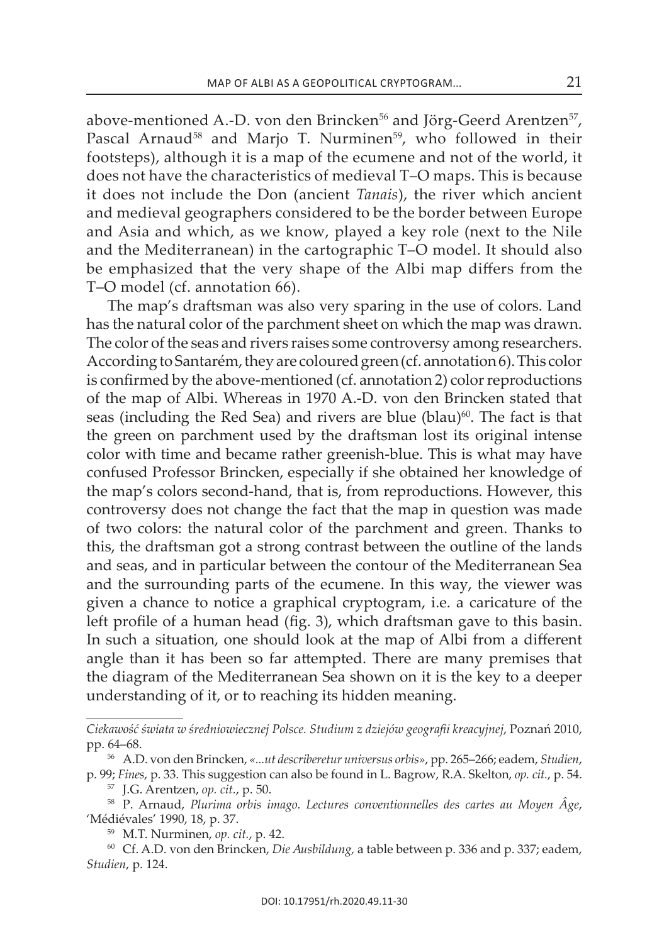above-mentioned A.-D. von den Brincken<sup>56</sup> and Jörg-Geerd Arentzen<sup>57</sup>, Pascal Arnaud<sup>58</sup> and Marjo T. Nurminen<sup>59</sup>, who followed in their footsteps), although it is a map of the ecumene and not of the world, it does not have the characteristics of medieval T–O maps. This is because it does not include the Don (ancient *Tanais*), the river which ancient and medieval geographers considered to be the border between Europe and Asia and which, as we know, played a key role (next to the Nile and the Mediterranean) in the cartographic T-O model. It should also be emphasized that the very shape of the albi map differs from the T–O model (cf. annotation 66).

The map's draftsman was also very sparing in the use of colors. Land has the natural color of the parchment sheet on which the map was drawn. The color of the seas and rivers raises some controversy among researchers. According to Santarém, they are coloured green (cf. annotation 6). This color is confirmed by the above-mentioned (cf. annotation 2) color reproductions of the map of albi. Whereas in 1970 a.-D. von den Brincken stated that seas (including the Red Sea) and rivers are blue (blau) $60$ . The fact is that the green on parchment used by the draftsman lost its original intense color with time and became rather greenish-blue. This is what may have confused Professor Brincken, especially if she obtained her knowledge of the map's colors second-hand, that is, from reproductions. however, this controversy does not change the fact that the map in question was made of two colors: the natural color of the parchment and green. Thanks to this, the draftsman got a strong contrast between the outline of the lands and seas, and in particular between the contour of the Mediterranean sea and the surrounding parts of the ecumene. in this way, the viewer was given a chance to notice a graphical cryptogram, i.e. a caricature of the left profile of a human head (fig. 3), which draftsman gave to this basin. In such a situation, one should look at the map of Albi from a different angle than it has been so far attempted. there are many premises that the diagram of the Mediterranean sea shown on it is the key to a deeper understanding of it, or to reaching its hidden meaning.

*Ciekawość świata w średniowiecznej Polsce. Studium z dziejów geografii kreacyjnej*, Poznań 2010, pp. 64–68.

<sup>56</sup> a.D. von den Brincken, *«...ut describeretur universus orbis»*, pp. 265–266; eadem, *Studien*, p. 99; *Fines*, p. 33. This suggestion can also be found in L. Bagrow, R.A. Skelton, *op. cit.*, p. 54.

<sup>57</sup> J.G. arentzen, *op. cit.*, p. 50.

<sup>58</sup> P. arnaud, *Plurima orbis imago. Lectures conventionnelles des cartes au Moyen Âge*, 'Médiévales' 1990, 18, p. 37.

<sup>59</sup> M.t. nurminen, *op. cit.*, p. 42.

<sup>60</sup> cf. a.D. von den Brincken, *Die Ausbildung,* a table between p. 336 and p. 337; eadem, *Studien*, p. 124.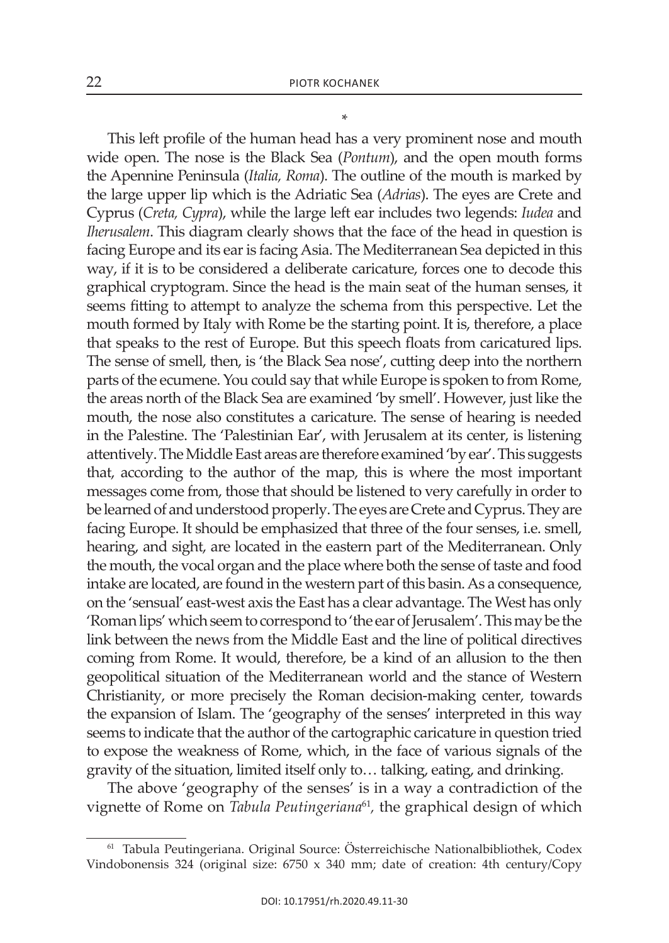This left profile of the human head has a very prominent nose and mouth wide open. The nose is the Black Sea (*Pontum*), and the open mouth forms the Apennine Peninsula (*Italia, Roma*). The outline of the mouth is marked by the large upper lip which is the Adriatic Sea (*Adrias*). The eyes are Crete and cyprus (*Creta, Cypra*), while the large left ear includes two legends: *Iudea* and *Iherusalem*. This diagram clearly shows that the face of the head in question is facing Europe and its ear is facing Asia. The Mediterranean Sea depicted in this way, if it is to be considered a deliberate caricature, forces one to decode this graphical cryptogram. since the head is the main seat of the human senses, it seems fitting to attempt to analyze the schema from this perspective. Let the mouth formed by Italy with Rome be the starting point. It is, therefore, a place that speaks to the rest of Europe. But this speech floats from caricatured lips. The sense of smell, then, is 'the Black Sea nose', cutting deep into the northern parts of the ecumene. You could say that while Europe is spoken to from Rome, the areas north of the Black Sea are examined 'by smell'. However, just like the mouth, the nose also constitutes a caricature. The sense of hearing is needed in the Palestine. The 'Palestinian Ear', with Jerusalem at its center, is listening attentively. The Middle East areas are therefore examined 'by ear'. This suggests that, according to the author of the map, this is where the most important messages come from, those that should be listened to very carefully in order to be learned of and understood properly. the eyes are crete and cyprus. they are facing Europe. It should be emphasized that three of the four senses, i.e. smell, hearing, and sight, are located in the eastern part of the Mediterranean. Only the mouth, the vocal organ and the place where both the sense of taste and food intake are located, are found in the western part of this basin. As a consequence, on the 'sensual' east-west axis the East has a clear advantage. The West has only 'Roman lips' which seem to correspond to 'the ear of Jerusalem'. This may be the link between the news from the Middle east and the line of political directives coming from Rome. It would, therefore, be a kind of an allusion to the then geopolitical situation of the Mediterranean world and the stance of Western Christianity, or more precisely the Roman decision-making center, towards the expansion of Islam. The 'geography of the senses' interpreted in this way seems to indicate that the author of the cartographic caricature in question tried to expose the weakness of Rome, which, in the face of various signals of the

The above 'geography of the senses' is in a way a contradiction of the vignette of Rome on *Tabula Peutingeriana*<sup>61</sup>, the graphical design of which

gravity of the situation, limited itself only to… talking, eating, and drinking.

\*

<sup>&</sup>lt;sup>61</sup> Tabula Peutingeriana. Original Source: Österreichische Nationalbibliothek, Codex Vindobonensis 324 (original size: 6750 x 340 mm; date of creation: 4th century/copy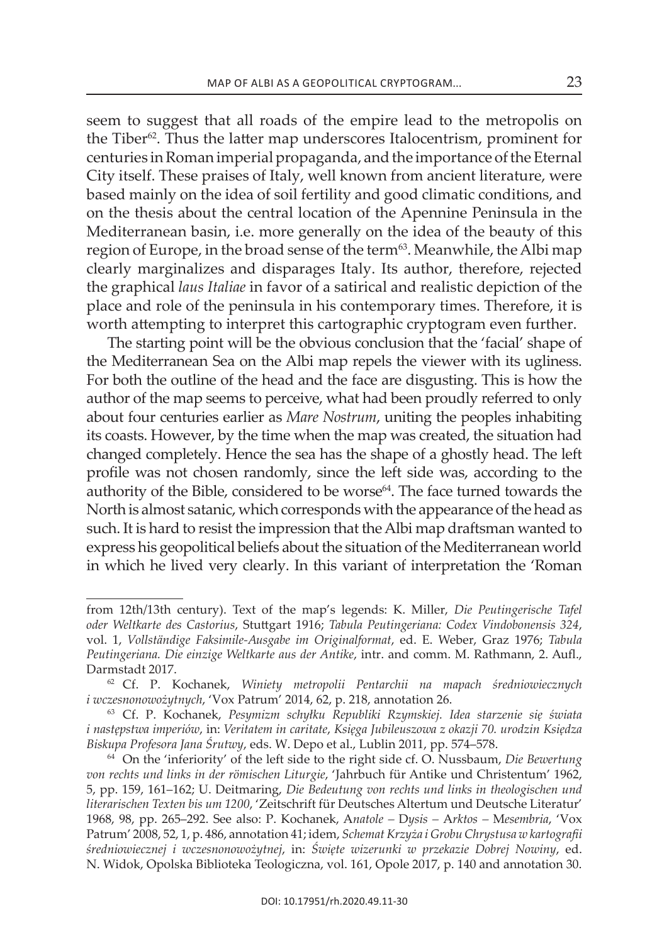seem to suggest that all roads of the empire lead to the metropolis on the Tiber<sup>62</sup>. Thus the latter map underscores Italocentrism, prominent for centuries in Roman imperial propaganda, and the importance of the Eternal City itself. These praises of Italy, well known from ancient literature, were based mainly on the idea of soil fertility and good climatic conditions, and on the thesis about the central location of the apennine Peninsula in the Mediterranean basin, i.e. more generally on the idea of the beauty of this region of Europe, in the broad sense of the term<sup>63</sup>. Meanwhile, the Albi map clearly marginalizes and disparages italy. its author, therefore, rejected the graphical *laus Italiae* in favor of a satirical and realistic depiction of the place and role of the peninsula in his contemporary times. Therefore, it is worth attempting to interpret this cartographic cryptogram even further.

The starting point will be the obvious conclusion that the 'facial' shape of the Mediterranean sea on the albi map repels the viewer with its ugliness. For both the outline of the head and the face are disgusting. This is how the author of the map seems to perceive, what had been proudly referred to only about four centuries earlier as *Mare Nostrum*, uniting the peoples inhabiting its coasts. however, by the time when the map was created, the situation had changed completely. Hence the sea has the shape of a ghostly head. The left profile was not chosen randomly, since the left side was, according to the authority of the Bible, considered to be worse<sup>64</sup>. The face turned towards the North is almost satanic, which corresponds with the appearance of the head as such. It is hard to resist the impression that the Albi map draftsman wanted to express his geopolitical beliefs about the situation of the Mediterranean world in which he lived very clearly. In this variant of interpretation the 'Roman

from 12th/13th century). text of the map's legends: k. Miller, *Die Peutingerische Tafel oder Weltkarte des Castorius*, stuttgart 1916; *Tabula Peutingeriana: Codex Vindobonensis 324*, vol. 1, *Vollständige Faksimile-Ausgabe im Originalformat*, ed. e. Weber, Graz 1976; *Tabula*  Peutingeriana. Die einzige Weltkarte aus der Antike, intr. and comm. M. Rathmann, 2. Aufl., Darmstadt 2017.

<sup>62</sup> cf. P. Kochanek, *Winiety metropolii Pentarchii na mapach średniowiecznych i wczesnonowożytnych*, 'Vox Patrum' 2014, 62, p. 218, annotation 26.

<sup>63</sup> cf. P. Kochanek, *Pesymizm schyłku Republiki Rzymskiej. Idea starzenie się świata i następstwa imperiów*, in: *Veritatem in caritate*, *Księga Jubileuszowa z okazji 70. urodzin Księdza Biskupa Profesora Jana Śrutwy*, eds. w. depo et al., Lublin 2011, pp. 574–578.

<sup>64</sup> on the 'inferiority' of the left side to the right side cf. o. nussbaum, *Die Bewertung*  von rechts und links in der römischen Liturgie, 'Jahrbuch für Antike und Christentum' 1962, 5, pp. 159, 161–162; U. Deitmaring, *Die Bedeutung von rechts und links in theologischen und literarischen Texten bis um 1200*, 'zeitschrift für Deutsches altertum und Deutsche literatur' 1968, 98, pp. 265–292. see also: P. kochanek, a*natole –* D*ysis –* a*rktos –* M*esembria*, 'Vox Patrum' 2008, 52, 1, p. 486, annotation 41; idem, *Schemat Krzyża i Grobu Chrystusa w kartografii średniowiecznej i wczesnonowożytnej*, in: *Święte wizerunki w przekazie Dobrej Nowiny*, ed. n. Widok, opolska Biblioteka teologiczna, vol. 161, opole 2017, p. 140 and annotation 30.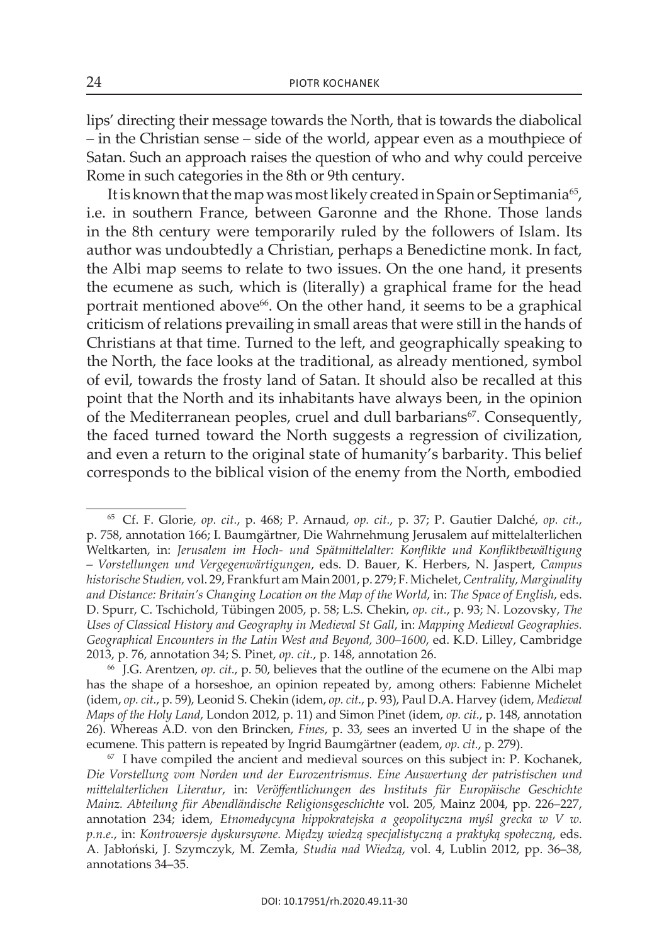lips' directing their message towards the North, that is towards the diabolical – in the Christian sense – side of the world, appear even as a mouthpiece of satan. such an approach raises the question of who and why could perceive Rome in such categories in the 8th or 9th century.

It is known that the map was most likely created in Spain or Septimania<sup>65</sup>, i.e. in southern France, between Garonne and the Rhone. Those lands in the 8th century were temporarily ruled by the followers of islam. its author was undoubtedly a christian, perhaps a Benedictine monk. in fact, the Albi map seems to relate to two issues. On the one hand, it presents the ecumene as such, which is (literally) a graphical frame for the head portrait mentioned above<sup>66</sup>. On the other hand, it seems to be a graphical criticism of relations prevailing in small areas that were still in the hands of Christians at that time. Turned to the left, and geographically speaking to the north, the face looks at the traditional, as already mentioned, symbol of evil, towards the frosty land of satan. it should also be recalled at this point that the North and its inhabitants have always been, in the opinion of the Mediterranean peoples, cruel and dull barbarians<sup>67</sup>. Consequently, the faced turned toward the North suggests a regression of civilization, and even a return to the original state of humanity's barbarity. This belief corresponds to the biblical vision of the enemy from the North, embodied

<sup>65</sup> cf. F. Glorie, *op. cit.*, p. 468; P. arnaud, *op. cit.*, p. 37; P. Gautier Dalché, *op. cit.*, p. 758, annotation 166; i. Baumgärtner, die wahrnehmung Jerusalem auf mittelalterlichen Weltkarten, in: *Jerusalem im Hoch- und Spätmittelalter: Konflikte und Konfliktbewältigung – Vorstellungen und Vergegenwärtigungen*, eds. D. Bauer, K. herbers, n. Jaspert, *Campus historische Studien,* vol. 29, Frankfurt am Main 2001, p. 279; F. Michelet, *Centrality, Marginality and Distance: Britain's Changing Location on the Map of the World*, in: *The Space of English*, eds. D. spurr, c. tschichold, tübingen 2005, p. 58; l.s. chekin, *op. cit.*, p. 93; n. lozovsky, *The Uses of Classical History and Geography in Medieval St Gall*, in: *Mapping Medieval Geographies. Geographical Encounters in the Latin West and Beyond, 300*–*1600*, ed. K.D. lilley, cambridge 2013, p. 76, annotation 34; s. Pinet, *op. cit.*, p. 148, annotation 26.

<sup>66</sup> J.G. arentzen, *op. cit.*, p. 50, believes that the outline of the ecumene on the albi map has the shape of a horseshoe, an opinion repeated by, among others: Fabienne Michelet (idem, op. cit., p. 59), Leonid S. Chekin (idem, op. cit., p. 93), Paul D.A. Harvey (idem, *Medieval Maps of the Holy Land*, London 2012, p. 11) and simon Pinet (idem, *op. cit.*, p. 148, annotation 26). Whereas A.D. von den Brincken, *Fines*, p. 33, sees an inverted U in the shape of the ecumene. this pattern is repeated by ingrid Baumgärtner (eadem, *op. cit.*, p. 279).

 $67$  I have compiled the ancient and medieval sources on this subject in: P. Kochanek, *Die Vorstellung vom Norden und der Eurozentrismus. Eine Auswertung der patristischen und mittelalterlichen Literatur*, in: *Veröffentlichungen des Instituts für Europäische Geschichte Mainz. Abteilung für Abendländische Religionsgeschichte* vol. 205, Mainz 2004, pp. 226–227, annotation 234; idem, *Etnomedycyna hippokratejska a geopolityczna myśl grecka w V w. p.n.e.*, in: *Kontrowersje dyskursywne. Między wiedzą specjalistyczną a praktyką społeczną*, eds. a. Jabłoński, J. szymczyk, M. zemła, *Studia nad Wiedzą*, vol. 4, Lublin 2012, pp. 36–38, annotations 34–35.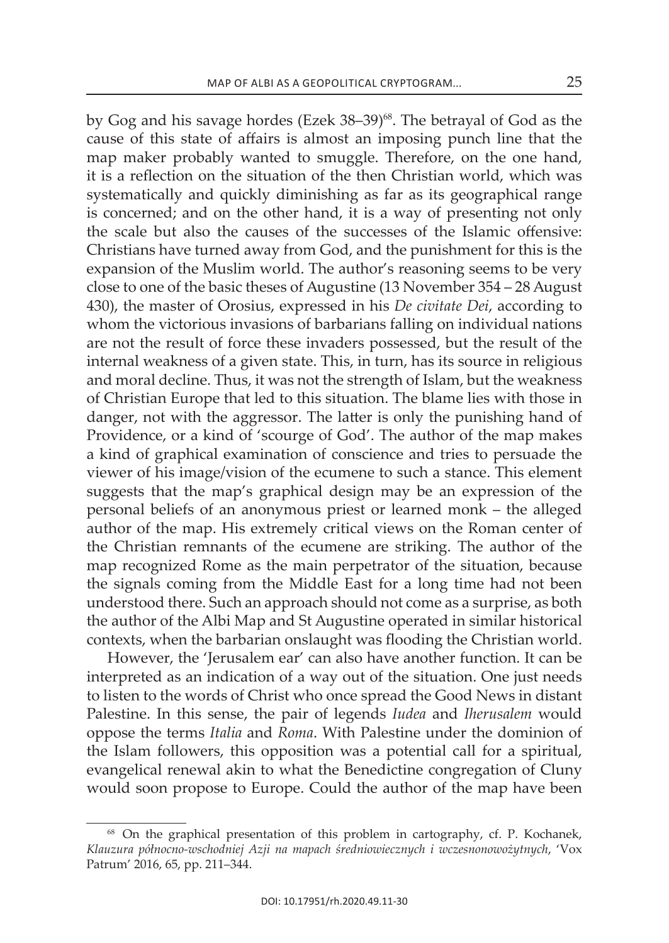by Gog and his savage hordes (Ezek 38–39)<sup>68</sup>. The betrayal of God as the cause of this state of affairs is almost an imposing punch line that the map maker probably wanted to smuggle. Therefore, on the one hand, it is a reflection on the situation of the then Christian world, which was systematically and quickly diminishing as far as its geographical range is concerned; and on the other hand, it is a way of presenting not only the scale but also the causes of the successes of the islamic offensive: christians have turned away from God, and the punishment for this is the expansion of the Muslim world. The author's reasoning seems to be very close to one of the basic theses of Augustine (13 November 354 – 28 August 430), the master of Orosius, expressed in his *De civitate Dei*, according to whom the victorious invasions of barbarians falling on individual nations are not the result of force these invaders possessed, but the result of the internal weakness of a given state. This, in turn, has its source in religious and moral decline. Thus, it was not the strength of Islam, but the weakness of christian europe that led to this situation. the blame lies with those in danger, not with the aggressor. The latter is only the punishing hand of Providence, or a kind of 'scourge of God'. the author of the map makes a kind of graphical examination of conscience and tries to persuade the viewer of his image/vision of the ecumene to such a stance. This element suggests that the map's graphical design may be an expression of the personal beliefs of an anonymous priest or learned monk – the alleged author of the map. His extremely critical views on the Roman center of the Christian remnants of the ecumene are striking. The author of the map recognized Rome as the main perpetrator of the situation, because the signals coming from the Middle East for a long time had not been understood there. Such an approach should not come as a surprise, as both the author of the Albi Map and St Augustine operated in similar historical contexts, when the barbarian onslaught was flooding the Christian world.

however, the 'Jerusalem ear' can also have another function. it can be interpreted as an indication of a way out of the situation. One just needs to listen to the words of Christ who once spread the Good News in distant Palestine. in this sense, the pair of legends *Iudea* and *Iherusalem* would oppose the terms *Italia* and *Roma*. With Palestine under the dominion of the islam followers, this opposition was a potential call for a spiritual, evangelical renewal akin to what the Benedictine congregation of cluny would soon propose to Europe. Could the author of the map have been

<sup>&</sup>lt;sup>68</sup> On the graphical presentation of this problem in cartography, cf. P. Kochanek, *Klauzura północno-wschodniej Azji na mapach średniowiecznych i wczesnonowożytnych*, 'Vox Patrum' 2016, 65, pp. 211–344.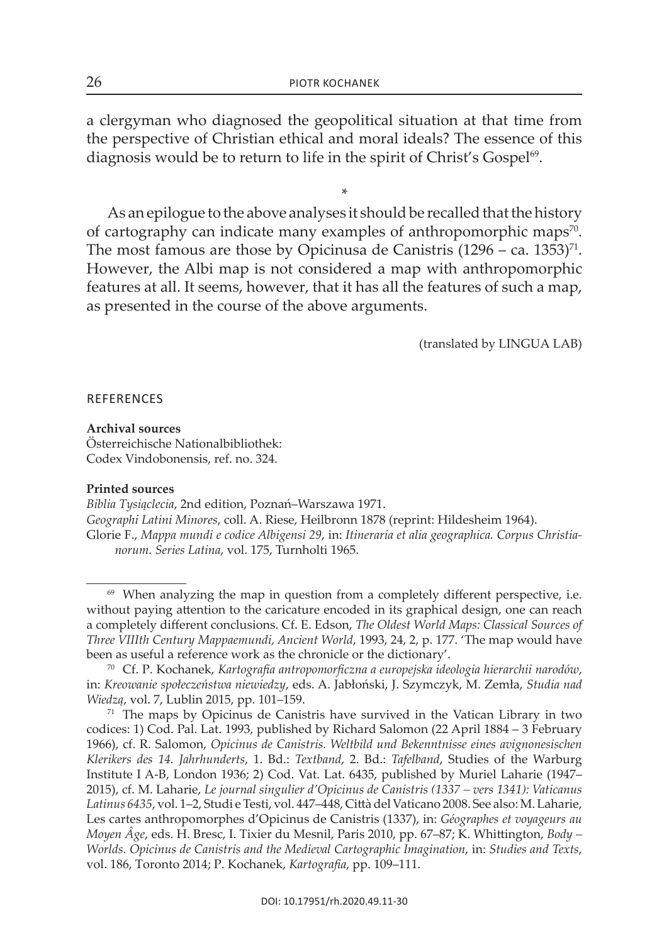a clergyman who diagnosed the geopolitical situation at that time from the perspective of Christian ethical and moral ideals? The essence of this diagnosis would be to return to life in the spirit of Christ's Gospel<sup>69</sup>.

\*

as an epilogue to the above analyses it should be recalled that the history of cartography can indicate many examples of anthropomorphic maps<sup>70</sup>. The most famous are those by Opicinusa de Canistris  $(1296 - ca. 1353)^{71}$ . however, the albi map is not considered a map with anthropomorphic features at all. it seems, however, that it has all the features of such a map, as presented in the course of the above arguments.

(translated by LINGUA LAB)

# **REFERENCES**

**archival sources**

Österreichische Nationalbibliothek: codex Vindobonensis, ref. no. 324.

# **Printed sources**

*Biblia Tysiąclecia*, 2nd edition, Poznań–warszawa 1971. Geographi Latini Minores, coll. A. Riese, Heilbronn 1878 (reprint: Hildesheim 1964). Glorie F., *Mappa mundi e codice Albigensi 29*, in: *Itineraria et alia geographica. Corpus Christianorum. Series Latina*, vol. 175, turnholti 1965.

 $69$  When analyzing the map in question from a completely different perspective, i.e. without paying attention to the caricature encoded in its graphical design, one can reach a completely different conclusions. Cf. E. Edson, *The Oldest World Maps: Classical Sources of Three VIIIth Century Mappaemundi, Ancient World*, 1993, 24, 2, p. 177. 'the map would have been as useful a reference work as the chronicle or the dictionary'.

<sup>70</sup> cf. P. Kochanek, *Kartografia antropomorficzna a europejska ideologia hierarchii narodów*, in: *Kreowanie społeczeństwa niewiedzy*, eds. a. Jabłoński, J. szymczyk, M. zemła, *Studia nad Wiedzą*, vol. 7, Lublin 2015, pp. 101–159.

 $71$  The maps by Opicinus de Canistris have survived in the Vatican Library in two codices: 1) Cod. Pal. Lat. 1993, published by Richard Salomon (22 April 1884 – 3 February 1966), cf. R. Salomon, *Opicinus de Canistris. Weltbild und Bekenntnisse eines avignonesischen Klerikers des 14. Jahrhunderts*, 1. Bd.: *Textband*, 2. Bd.: *Tafelband*, studies of the Warburg institute i a-B, London 1936; 2) Cod. Vat. Lat. 6435, published by Muriel Laharie (1947– 2015), cf. M. Laharie, *Le journal singulier d'Opicinus de Canistris (1337 – vers 1341): Vaticanus*  Latinus 6435, vol. 1-2, Studi e Testi, vol. 447-448, Città del Vaticano 2008. See also: M. Laharie, Les cartes anthropomorphes d'Opicinus de Canistris (1337), in: *Géographes et voyageurs au Moyen Âge*, eds. H. Bresc, i. tixier du Mesnil, Paris 2010, pp. 67–87; k. whittington, *Body – Worlds. Opicinus de Canistris and the Medieval Cartographic Imagination*, in: *Studies and Texts*, vol. 186, toronto 2014; P. Kochanek, *Kartografia*, pp. 109–111.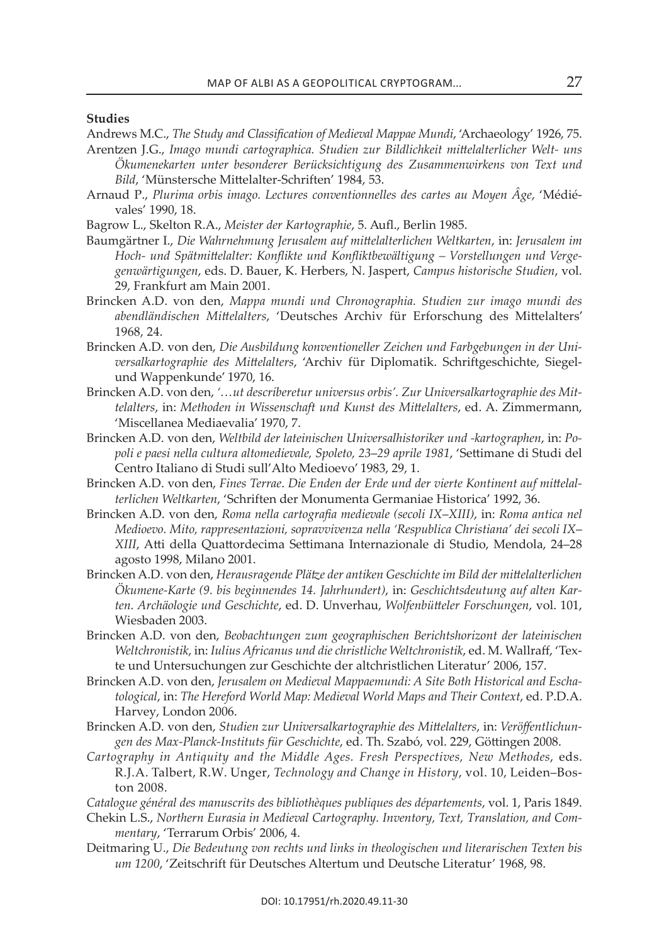## **studies**

andrews M.c., *The Study and Classification of Medieval Mappae Mundi*, 'archaeology' 1926, 75.

- arentzen J.G., *Imago mundi cartographica. Studien zur Bildlichkeit mittelalterlicher Welt- uns Ökumenekarten unter besonderer Berücksichtigung des Zusammenwirkens von Text und Bild*, 'Münstersche Mittelalter-schriften' 1984, 53.
- arnaud P., *Plurima orbis imago. Lectures conventionnelles des cartes au Moyen Âge*, 'Médiévales' 1990, 18.
- Bagrow L., Skelton R.A., *Meister der Kartographie*, 5. Aufl., Berlin 1985.
- Baumgärtner i., *Die Wahrnehmung Jerusalem auf mittelalterlichen Weltkarten*, in: *Jerusalem im Hoch- und Spätmittelalter: Konflikte und Konfliktbewältigung – Vorstellungen und Vergegenwärtigungen*, eds. D. Bauer, K. herbers, n. Jaspert, *Campus historische Studien*, vol. 29, Frankfurt am Main 2001.
- Brincken a.D. von den, *Mappa mundi und Chronographia. Studien zur imago mundi des abendländischen Mittelalters*, 'deutsches archiv für erforschung des Mittelalters' 1968, 24.
- Brincken a.D. von den, *Die Ausbildung konventioneller Zeichen und Farbgebungen in der Universalkartographie des Mittelalters*, 'archiv für Diplomatik. schriftgeschichte, siegelund Wappenkunde' 1970, 16.
- Brincken A.D. von den, '...ut describeretur universus orbis'. Zur Universalkartographie des Mittelalters, in: Methoden in Wissenschaft und Kunst des Mittelalters, ed. A. Zimmermann, 'Miscellanea Mediaevalia' 1970, 7.
- Brincken a.D. von den, *Weltbild der lateinischen Universalhistoriker und -kartographen*, in: *Popoli e paesi nella cultura altomedievale, Spoleto, 23*–*29 aprile 1981*, 'settimane di studi del centro italiano di studi sull'alto Medioevo' 1983, 29, 1.
- Brincken a.D. von den, *Fines Terrae*. *Die Enden der Erde und der vierte Kontinent auf mittelalterlichen Weltkarten*, 'schriften der Monumenta Germaniae historica' 1992, 36.
- Brincken a.D. von den, *Roma nella cartografia medievale (secoli IX*–*XIII)*, in: *Roma antica nel Medioevo. Mito, rappresentazioni, sopravvivenza nella 'Respublica Christiana' dei secoli IX*– *XIII*, atti della Quattordecima settimana internazionale di studio, Mendola, 24–28 agosto 1998, Milano 2001.
- Brincken a.D. von den, *Herausragende Plätze der antiken Geschichte im Bild der mittelalterlichen Ökumene-Karte (9. bis beginnendes 14. Jahrhundert)*, in: *Geschichtsdeutung auf alten Karten. Archäologie und Geschichte*, ed. D. unverhau, *Wolfenbütteler Forschungen*, vol. 101, Wiesbaden 2003.
- Brincken a.D. von den, *Beobachtungen zum geographischen Berichtshorizont der lateinischen Weltchronistik*, in: *Iulius Africanus und die christliche Weltchronistik*, ed. M. wallraff, 'texte und Untersuchungen zur Geschichte der altchristlichen Literatur' 2006, 157.
- Brincken A.D. von den, *Jerusalem on Medieval Mappaemundi: A Site Both Historical and Eschatological*, in: *The Hereford World Map: Medieval World Maps and Their Context*, ed. P.D.a. harvey, london 2006.
- Brincken a.D. von den, *Studien zur Universalkartographie des Mittelalters*, in: *Veröffentlichungen des Max-Planck-Instituts für Geschichte*, ed. th. szabó, vol. 229, Göttingen 2008.
- *Cartography in Antiquity and the Middle Ages. Fresh Perspectives, New Methodes*, eds. r.J.a. talbert, r.W. unger, *Technology and Change in History*, vol. 10, Leiden–Boston 2008.
- *Catalogue général des manuscrits des bibliothèques publiques des départements*, vol. 1, Paris 1849.
- chekin l.s., *Northern Eurasia in Medieval Cartography. Inventory, Text, Translation, and Com*mentary, 'Terrarum Orbis' 2006, 4.
- Deitmaring U., Die Bedeutung von rechts und links in theologischen und literarischen Texten bis *um 1200*, 'zeitschrift für Deutsches altertum und Deutsche literatur' 1968, 98.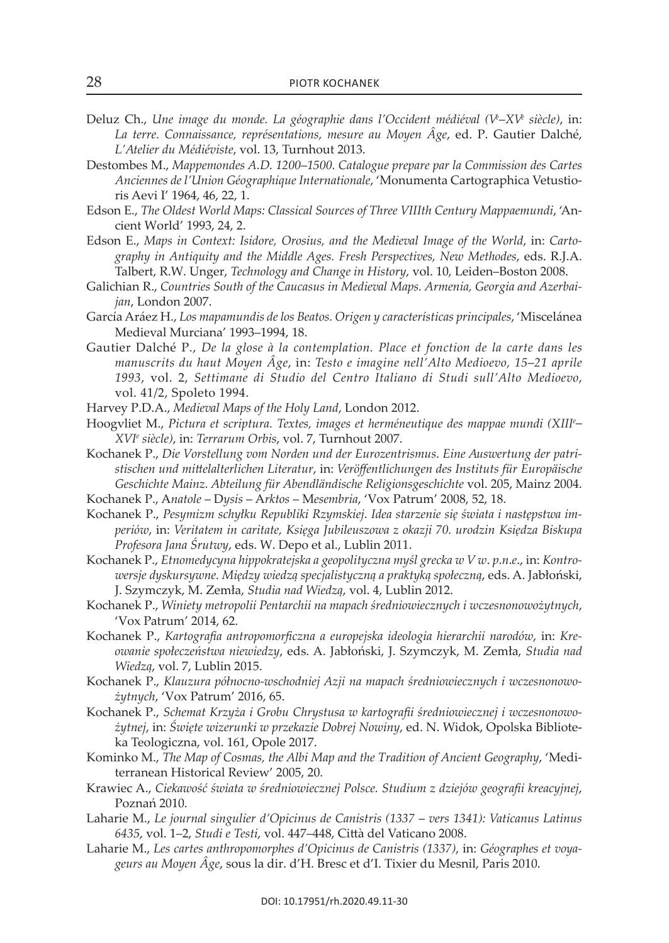- Deluz ch., *Une image du monde. La géographie dans l'Occident médiéval (V<sup>e</sup>* –*XV<sup>e</sup> siècle)*, in: *La terre. Connaissance, représentations, mesure au Moyen Âge*, ed. P. Gautier Dalché, *L'Atelier du Médiéviste*, vol. 13, turnhout 2013.
- Destombes M., *Mappemondes A.D. 1200*–*1500. Catalogue prepare par la Commission des Cartes Anciennes de l'Union Géographique Internationale*, 'Monumenta cartographica Vetustioris Aevi I' 1964, 46, 22, 1.
- Edson E., *The Oldest World Maps: Classical Sources of Three VIIIth Century Mappaemundi*, 'Ancient World' 1993, 24, 2.
- Edson E., Maps in Context: Isidore, Orosius, and the Medieval Image of the World, in: Cartography in Antiquity and the Middle Ages. Fresh Perspectives, New Methodes, eds. R.J.A. Talbert, R.W. Unger, *Technology and Change in History*, vol. 10, Leiden–Boston 2008.
- Galichian R., Countries South of the Caucasus in Medieval Maps. Armenia, Georgia and Azerbai*jan*, london 2007.
- García aráez h., *Los mapamundis de los Beatos. Origen y características principales*, 'Miscelánea Medieval Murciana' 1993–1994, 18.
- Gautier Dalché P., *De la glose à la contemplation. Place et fonction de la carte dans les manuscrits du haut Moyen Âge*, in: *Testo e imagine nell'Alto Medioevo, 15*–*21 aprile 1993*, vol. 2, *Settimane di Studio del Centro Italiano di Studi sull'Alto Medioevo*, vol. 41/2, spoleto 1994.
- harvey P.D.a., *Medieval Maps of the Holy Land*, london 2012.
- hoogvliet M., *Pictura et scriptura. Textes, images et herméneutique des mappae mundi (XIII<sup>e</sup> XVI<sup>e</sup> siècle)*, in: *Terrarum Orbis*, vol. 7, turnhout 2007.
- Kochanek P., *Die Vorstellung vom Norden und der Eurozentrismus*. *Eine Auswertung der patristischen und mittelalterlichen Literatur*, in: *Veröffentlichungen des Instituts für Europäische Geschichte Mainz. Abteilung für Abendländische Religionsgeschichte* vol. 205, Mainz 2004.
- Kochanek P., a*natole*  d*ysis*  a*rktos*  M*esembria*, 'Vox Patrum' 2008, 52, 18.
- Kochanek P., *Pesymizm schyłku Republiki Rzymskiej*. *Idea starzenie się świata i następstwa imperiów*, in: *Veritatem in caritate, Księga Jubileuszowa z okazji 70. urodzin Księdza Biskupa Profesora Jana Śrutwy*, eds. W. Depo et al., lublin 2011.
- Kochanek P., *Etnomedycyna hippokratejska a geopolityczna myśl grecka w V w*. *p*.*n*.*e*., in: *Kontrowersje dyskursywne. Między wiedzą specjalistyczną a praktyką społeczną*, eds. a. Jabłoński, J. szymczyk, M. zemła, *Studia nad Wiedzą*, vol. 4, lublin 2012.
- Kochanek P., *Winiety metropolii Pentarchii na mapach średniowiecznych i wczesnonowożytnych*, 'Vox Patrum' 2014, 62.
- Kochanek P., *Kartografia antropomorficzna a europejska ideologia hierarchii narodów*, in: *Kreowanie społeczeństwa niewiedzy*, eds. a. Jabłoński, J. szymczyk, M. zemła, *Studia nad Wiedzą*, vol. 7, lublin 2015.
- Kochanek P., *Klauzura północno-wschodniej Azji na mapach średniowiecznych i wczesnonowożytnych*, 'Vox Patrum' 2016, 65.
- Kochanek P., *Schemat Krzyża i Grobu Chrystusa w kartografii średniowiecznej i wczesnonowożytnej*, in: *Święte wizerunki w przekazie Dobrej Nowiny*, ed. n. Widok, opolska Biblioteka Teologiczna, vol. 161, Opole 2017.
- Kominko M., *The Map of Cosmas, the Albi Map and the Tradition of Ancient Geography*, 'Mediterranean Historical Review' 2005, 20.
- Krawiec A., Ciekawość świata w średniowiecznej Polsce. Studium z dziejów geografii kreacyjnej, Poznań 2010.
- laharie M., *Le journal singulier d'Opicinus de Canistris (1337* – *vers 1341): Vaticanus Latinus 6435*, vol. 1–2, *Studi e Testi*, vol. 447–448, Città del Vaticano 2008.
- laharie M., *Les cartes anthropomorphes d'Opicinus de Canistris (1337)*, in: *Géographes et voyageurs au Moyen Âge*, sous la dir. d'h. Bresc et d'i. tixier du Mesnil, Paris 2010.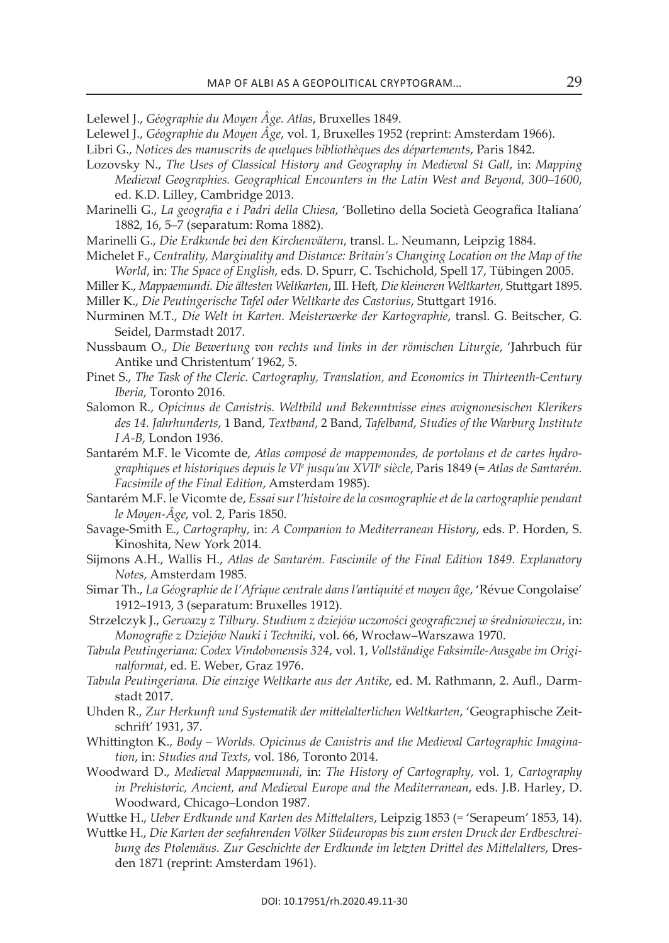lelewel J., *Géographie du Moyen Âge. Atlas*, Bruxelles 1849.

- lelewel J., *Géographie du Moyen Âge*, vol. 1, Bruxelles 1952 (reprint: amsterdam 1966).
- libri G., *Notices des manuscrits de quelques bibliothèques des départements*, Paris 1842.
- lozovsky n., *The Uses of Classical History and Geography in Medieval St Gall*, in: *Mapping Medieval Geographies. Geographical Encounters in the Latin West and Beyond, 300*–*1600*, ed. K.D. lilley, cambridge 2013.
- Marinelli G., *La geografia e i Padri della Chiesa*, 'Bolletino della società Geografica italiana' 1882, 16, 5–7 (separatum: Roma 1882).
- Marinelli G., *Die Erdkunde bei den Kirchenvätern*, transl. l. neumann, leipzig 1884.
- Michelet F., *Centrality, Marginality and Distance: Britain's Changing Location on the Map of the World*, in: *The Space of English*, eds. D. spurr, c. tschichold, spell 17, tübingen 2005.
- Miller K., *Mappaemundi. Die ältesten Weltkarten*, iii. heft, *Die kleineren Weltkarten*, stuttgart 1895. Miller K., *Die Peutingerische Tafel oder Weltkarte des Castorius*, stuttgart 1916.
- nurminen M.t., *Die Welt in Karten. Meisterwerke der Kartographie*, transl. G. Beitscher, G. seidel, Darmstadt 2017.
- nussbaum o., *Die Bewertung von rechts und links in der römischen Liturgie*, 'Jahrbuch für antike und christentum' 1962, 5.
- Pinet s., *The Task of the Cleric. Cartography, Translation, and Economics in Thirteenth-Century Iberia*, Toronto 2016.
- salomon r., *Opicinus de Canistris. Weltbild und Bekenntnisse eines avignonesischen Klerikers des 14. Jahrhunderts*, 1 Band, *Textband*, 2 Band, *Tafelband*, *Studies of the Warburg Institute I A-B*, london 1936.
- santarém M.F. le Vicomte de, *Atlas composé de mappemondes, de portolans et de cartes hydrographiques et historiques depuis le VI<sup>e</sup> jusqu'au XVII<sup>e</sup> siècle*, Paris 1849 (= *Atlas de Santarém.*  Facsimile of the Final Edition, Amsterdam 1985).
- santarém M.F. le Vicomte de, *Essai sur l'histoire de la cosmographie et de la cartographie pendant le Moyen-Âge*, vol. 2, Paris 1850.
- savage-smith e., *Cartography*, in: *A Companion to Mediterranean History*, eds. P. horden, s. Kinoshita, New York 2014.
- sijmons a.h., Wallis h., *Atlas de Santarém. Fascimile of the Final Edition 1849. Explanatory Notes*, amsterdam 1985.
- Simar Th., La Géographie de l'Afrique centrale dans l'antiquité et moyen âge, 'Révue Congolaise' 1912–1913, 3 (separatum: Bruxelles 1912).
- strzelczyk J., *Gerwazy z Tilbury. Studium z dziejów uczoności geograficznej w średniowieczu*, in: *Monografie z Dziejów Nauki i Techniki*, vol. 66, wrocław–warszawa 1970.
- *Tabula Peutingeriana: Codex Vindobonensis 324*, vol. 1, *Vollständige Faksimile-Ausgabe im Origi*nalformat, ed. E. Weber, Graz 1976.
- Tabula Peutingeriana. Die einzige Weltkarte aus der Antike, ed. M. Rathmann, 2. Aufl., Darmstadt 2017.
- uhden r., *Zur Herkunft und Systematik der mittelalterlichen Weltkarten*, 'Geographische zeitschrift' 1931, 37.
- Whittington K., *Body Worlds. Opicinus de Canistris and the Medieval Cartographic Imagination*, in: *Studies and Texts*, vol. 186, Toronto 2014.
- Woodward D., *Medieval Mappaemundi*, in: *The History of Cartography*, vol. 1, *Cartography in Prehistoric, Ancient, and Medieval Europe and the Mediterranean*, eds. J.B. harley, D. woodward, Chicago–London 1987.
- wuttke H., *Ueber Erdkunde und Karten des Mittelalters*, Leipzig 1853 (= 'serapeum' 1853, 14).
- wuttke H., *Die Karten der seefahrenden Völker Südeuropas bis zum ersten Druck der Erdbeschreibung des Ptolemäus. Zur Geschichte der Erdkunde im letzten Drittel des Mittelalters*, Dresden 1871 (reprint: Amsterdam 1961).